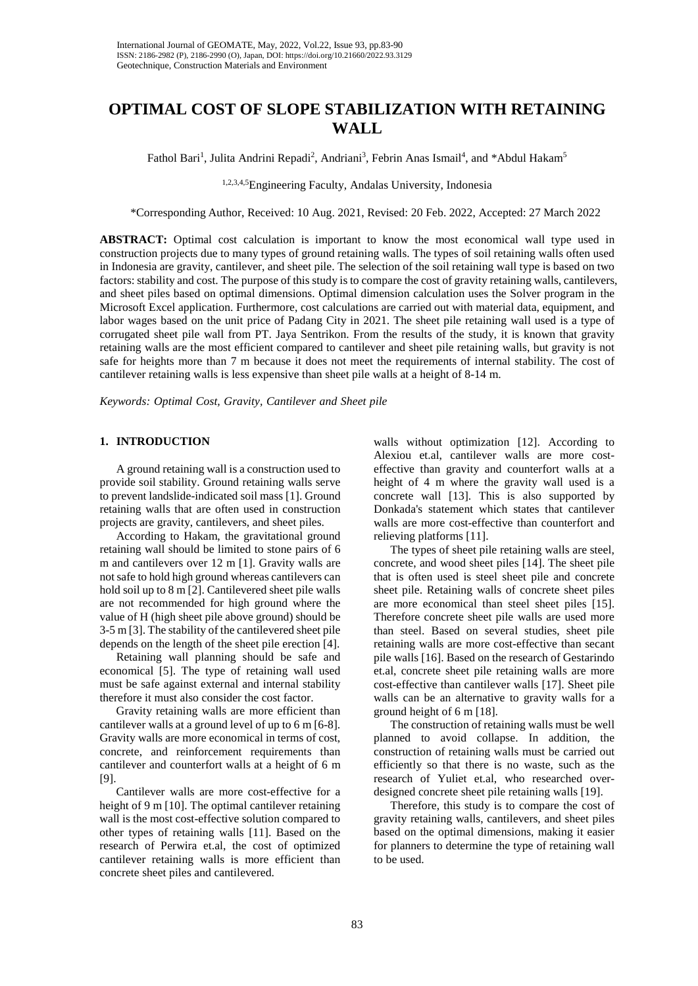# **OPTIMAL COST OF SLOPE STABILIZATION WITH RETAINING WALL**

Fathol Bari<sup>1</sup>, Julita Andrini Repadi<sup>2</sup>, Andriani<sup>3</sup>, Febrin Anas Ismail<sup>4</sup>, and \*Abdul Hakam<sup>5</sup>

1,2,3,4,5Engineering Faculty, Andalas University, Indonesia

\*Corresponding Author, Received: 10 Aug. 2021, Revised: 20 Feb. 2022, Accepted: 27 March 2022

**ABSTRACT:** Optimal cost calculation is important to know the most economical wall type used in construction projects due to many types of ground retaining walls. The types of soil retaining walls often used in Indonesia are gravity, cantilever, and sheet pile. The selection of the soil retaining wall type is based on two factors: stability and cost. The purpose of this study is to compare the cost of gravity retaining walls, cantilevers, and sheet piles based on optimal dimensions. Optimal dimension calculation uses the Solver program in the Microsoft Excel application. Furthermore, cost calculations are carried out with material data, equipment, and labor wages based on the unit price of Padang City in 2021. The sheet pile retaining wall used is a type of corrugated sheet pile wall from PT. Jaya Sentrikon. From the results of the study, it is known that gravity retaining walls are the most efficient compared to cantilever and sheet pile retaining walls, but gravity is not safe for heights more than 7 m because it does not meet the requirements of internal stability. The cost of cantilever retaining walls is less expensive than sheet pile walls at a height of 8-14 m.

*Keywords: Optimal Cost, Gravity, Cantilever and Sheet pile* 

# **1. INTRODUCTION**

A ground retaining wall is a construction used to provide soil stability. Ground retaining walls serve to prevent landslide-indicated soil mass [1]. Ground retaining walls that are often used in construction projects are gravity, cantilevers, and sheet piles.

According to Hakam, the gravitational ground retaining wall should be limited to stone pairs of 6 m and cantilevers over 12 m [1]. Gravity walls are not safe to hold high ground whereas cantilevers can hold soil up to 8 m [2]. Cantilevered sheet pile walls are not recommended for high ground where the value of H (high sheet pile above ground) should be 3-5 m [3]. The stability of the cantilevered sheet pile depends on the length of the sheet pile erection [4].

Retaining wall planning should be safe and economical [5]. The type of retaining wall used must be safe against external and internal stability therefore it must also consider the cost factor.

Gravity retaining walls are more efficient than cantilever walls at a ground level of up to 6 m [6-8]. Gravity walls are more economical in terms of cost, concrete, and reinforcement requirements than cantilever and counterfort walls at a height of 6 m [9].

Cantilever walls are more cost-effective for a height of 9 m [10]. The optimal cantilever retaining wall is the most cost-effective solution compared to other types of retaining walls [11]. Based on the research of Perwira et.al, the cost of optimized cantilever retaining walls is more efficient than concrete sheet piles and cantilevered.

walls without optimization [12]. According to Alexiou et.al, cantilever walls are more costeffective than gravity and counterfort walls at a height of 4 m where the gravity wall used is a concrete wall [13]. This is also supported by Donkada's statement which states that cantilever walls are more cost-effective than counterfort and relieving platforms [11].

The types of sheet pile retaining walls are steel, concrete, and wood sheet piles [14]. The sheet pile that is often used is steel sheet pile and concrete sheet pile. Retaining walls of concrete sheet piles are more economical than steel sheet piles [15]. Therefore concrete sheet pile walls are used more than steel. Based on several studies, sheet pile retaining walls are more cost-effective than secant pile walls [16]. Based on the research of Gestarindo et.al, concrete sheet pile retaining walls are more cost-effective than cantilever walls [17]. Sheet pile walls can be an alternative to gravity walls for a ground height of 6 m [18].

The construction of retaining walls must be well planned to avoid collapse. In addition, the construction of retaining walls must be carried out efficiently so that there is no waste, such as the research of Yuliet et.al, who researched overdesigned concrete sheet pile retaining walls [19].

Therefore, this study is to compare the cost of gravity retaining walls, cantilevers, and sheet piles based on the optimal dimensions, making it easier for planners to determine the type of retaining wall to be used.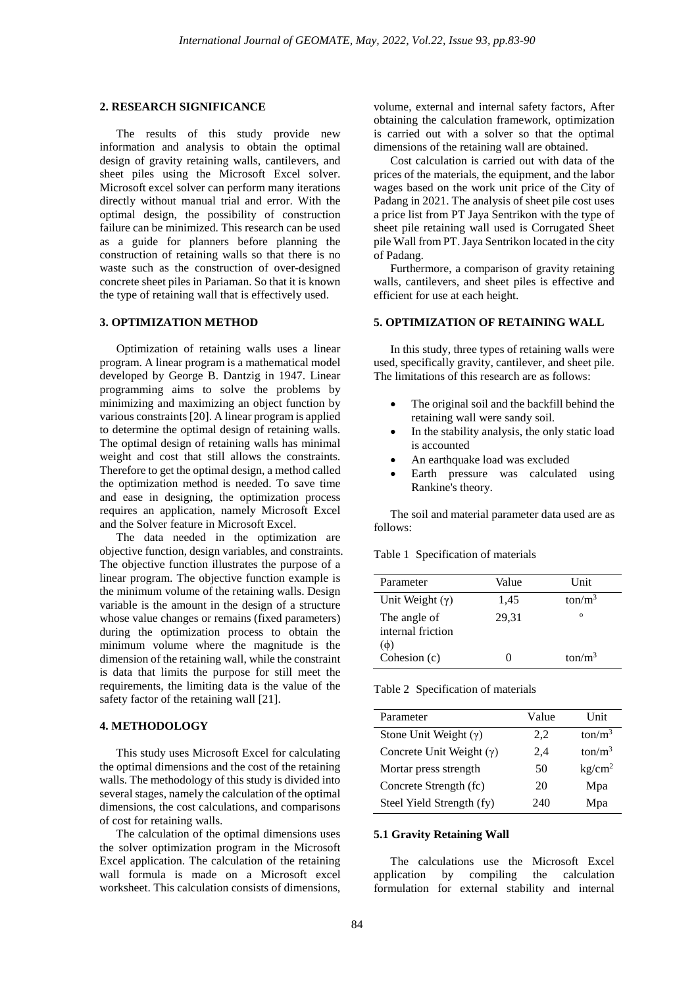#### **2. RESEARCH SIGNIFICANCE**

The results of this study provide new information and analysis to obtain the optimal design of gravity retaining walls, cantilevers, and sheet piles using the Microsoft Excel solver. Microsoft excel solver can perform many iterations directly without manual trial and error. With the optimal design, the possibility of construction failure can be minimized. This research can be used as a guide for planners before planning the construction of retaining walls so that there is no waste such as the construction of over-designed concrete sheet piles in Pariaman. So that it is known the type of retaining wall that is effectively used.

### **3. OPTIMIZATION METHOD**

Optimization of retaining walls uses a linear program. A linear program is a mathematical model developed by George B. Dantzig in 1947. Linear programming aims to solve the problems by minimizing and maximizing an object function by various constraints[20]. A linear program is applied to determine the optimal design of retaining walls. The optimal design of retaining walls has minimal weight and cost that still allows the constraints. Therefore to get the optimal design, a method called the optimization method is needed. To save time and ease in designing, the optimization process requires an application, namely Microsoft Excel and the Solver feature in Microsoft Excel.

The data needed in the optimization are objective function, design variables, and constraints. The objective function illustrates the purpose of a linear program. The objective function example is the minimum volume of the retaining walls. Design variable is the amount in the design of a structure whose value changes or remains (fixed parameters) during the optimization process to obtain the minimum volume where the magnitude is the dimension of the retaining wall, while the constraint is data that limits the purpose for still meet the requirements, the limiting data is the value of the safety factor of the retaining wall [21].

### **4. METHODOLOGY**

This study uses Microsoft Excel for calculating the optimal dimensions and the cost of the retaining walls. The methodology of this study is divided into several stages, namely the calculation of the optimal dimensions, the cost calculations, and comparisons of cost for retaining walls.

The calculation of the optimal dimensions uses the solver optimization program in the Microsoft Excel application. The calculation of the retaining wall formula is made on a Microsoft excel worksheet. This calculation consists of dimensions, volume, external and internal safety factors, After obtaining the calculation framework, optimization is carried out with a solver so that the optimal dimensions of the retaining wall are obtained.

Cost calculation is carried out with data of the prices of the materials, the equipment, and the labor wages based on the work unit price of the City of Padang in 2021. The analysis of sheet pile cost uses a price list from PT Jaya Sentrikon with the type of sheet pile retaining wall used is Corrugated Sheet pile Wall from PT. Jaya Sentrikon located in the city of Padang.

Furthermore, a comparison of gravity retaining walls, cantilevers, and sheet piles is effective and efficient for use at each height.

# **5. OPTIMIZATION OF RETAINING WALL**

In this study, three types of retaining walls were used, specifically gravity, cantilever, and sheet pile. The limitations of this research are as follows:

- The original soil and the backfill behind the retaining wall were sandy soil.
- In the stability analysis, the only static load is accounted
- An earthquake load was excluded
- Earth pressure was calculated using Rankine's theory.

The soil and material parameter data used are as follows:

Table 1 Specification of materials

| Parameter                                     | Value | <b>Unit</b>        |
|-----------------------------------------------|-------|--------------------|
| Unit Weight $(\gamma)$                        | 1,45  | tan/m <sup>3</sup> |
| The angle of<br>internal friction<br>$(\phi)$ | 29,31 | $\Omega$           |
| Cohesion (c)                                  |       | tan/m <sup>3</sup> |

Table 2 Specification of materials

| Parameter                       | Value | <b>Unit</b>        |
|---------------------------------|-------|--------------------|
| Stone Unit Weight $(\gamma)$    | 2,2   | tan/m <sup>3</sup> |
| Concrete Unit Weight $(\gamma)$ | 2,4   | tan/m <sup>3</sup> |
| Mortar press strength           | 50    | kg/cm <sup>2</sup> |
| Concrete Strength (fc)          | 20    | Mpa                |
| Steel Yield Strength (fy)       | 240   | Mpa                |

### **5.1 Gravity Retaining Wall**

The calculations use the Microsoft Excel application by compiling the calculation formulation for external stability and internal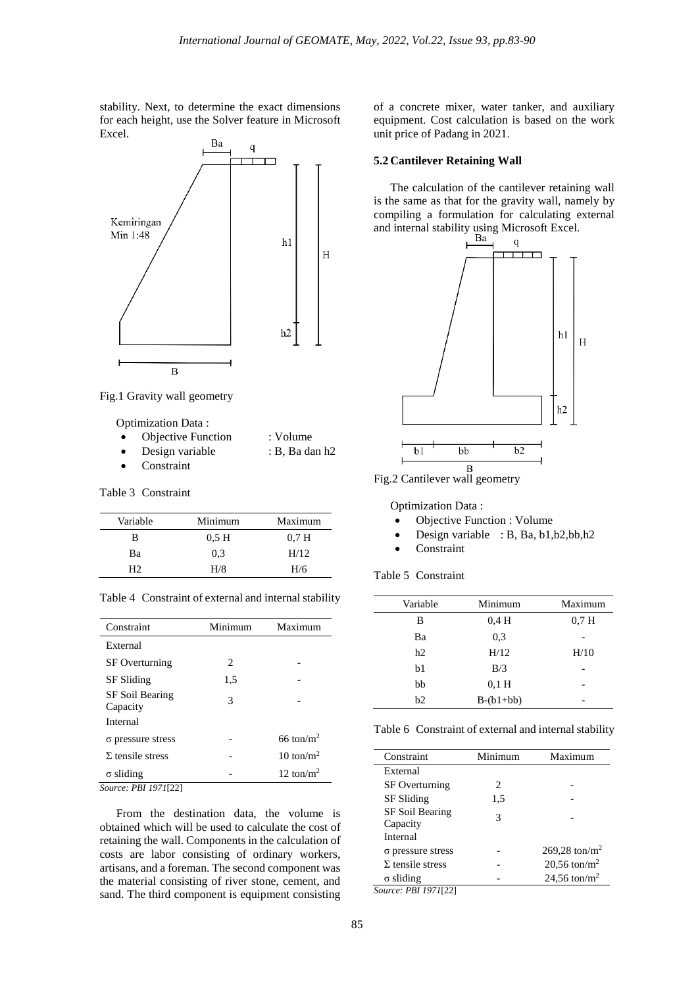stability. Next, to determine the exact dimensions for each height, use the Solver feature in Microsoft Excel.



Fig.1 Gravity wall geometry

Optimization Data :

| <b>Objective Function</b> | : Volume          |
|---------------------------|-------------------|
| Design variable           | $B$ , Ba dan $h2$ |

**Constraint** 

# Table 3 Constraint

| Variable | Minimum          | Maximum          |
|----------|------------------|------------------|
| R        | 0.5 <sub>H</sub> | 0.7 <sub>H</sub> |
| Вa       | 0.3              | H/12             |
| H٦       | H/8              | H/6              |

Table 4 Constraint of external and internal stability

| Minimum | Maximum              |  |
|---------|----------------------|--|
|         |                      |  |
| 2       |                      |  |
| 1,5     |                      |  |
| 3       |                      |  |
|         |                      |  |
|         | $66 \text{ ton/m}^2$ |  |
|         | 10 ton/ $m^2$        |  |
|         | 12 ton/ $m2$         |  |
|         |                      |  |

*Source: PBI 1971*[22]

From the destination data, the volume is obtained which will be used to calculate the cost of retaining the wall. Components in the calculation of costs are labor consisting of ordinary workers, artisans, and a foreman. The second component was the material consisting of river stone, cement, and sand. The third component is equipment consisting of a concrete mixer, water tanker, and auxiliary equipment. Cost calculation is based on the work unit price of Padang in 2021.

# **5.2 Cantilever Retaining Wall**

The calculation of the cantilever retaining wall is the same as that for the gravity wall, namely by compiling a formulation for calculating external and internal stability using Microsoft Excel.<br> $Ba \t a$ 



Fig.2 Cantilever wall geometry

Optimization Data :

- Objective Function : Volume
- Design variable : B, Ba, b1, b2, bb, h2
- Constraint

### Table 5 Constraint

| Variable | Minimum          | Maximum          |
|----------|------------------|------------------|
| B        | 0.4H             | 0.7 <sub>H</sub> |
| Ba       | 0.3              |                  |
| h2       | H/12             | H/10             |
| b1       | B/3              |                  |
| bb       | 0.1 <sub>H</sub> |                  |
| b2       | $B-(b1+bb)$      |                  |

| Constraint                | Minimum                     | Maximum                   |  |  |
|---------------------------|-----------------------------|---------------------------|--|--|
| External                  |                             |                           |  |  |
| <b>SF</b> Overturning     | $\mathcal{D}_{\mathcal{L}}$ |                           |  |  |
| <b>SF</b> Sliding         | 1,5                         |                           |  |  |
| SF Soil Bearing           | 3                           |                           |  |  |
| Capacity                  |                             |                           |  |  |
| Internal                  |                             |                           |  |  |
| $\sigma$ pressure stress  |                             | 269,28 ton/m <sup>2</sup> |  |  |
| $\Sigma$ tensile stress   |                             | 20,56 ton/ $m^2$          |  |  |
| $\sigma$ sliding          |                             | 24,56 ton/ $m^2$          |  |  |
| $S_{outcon}$ DRI 10715221 |                             |                           |  |  |

*Source: PBI 1971*[22]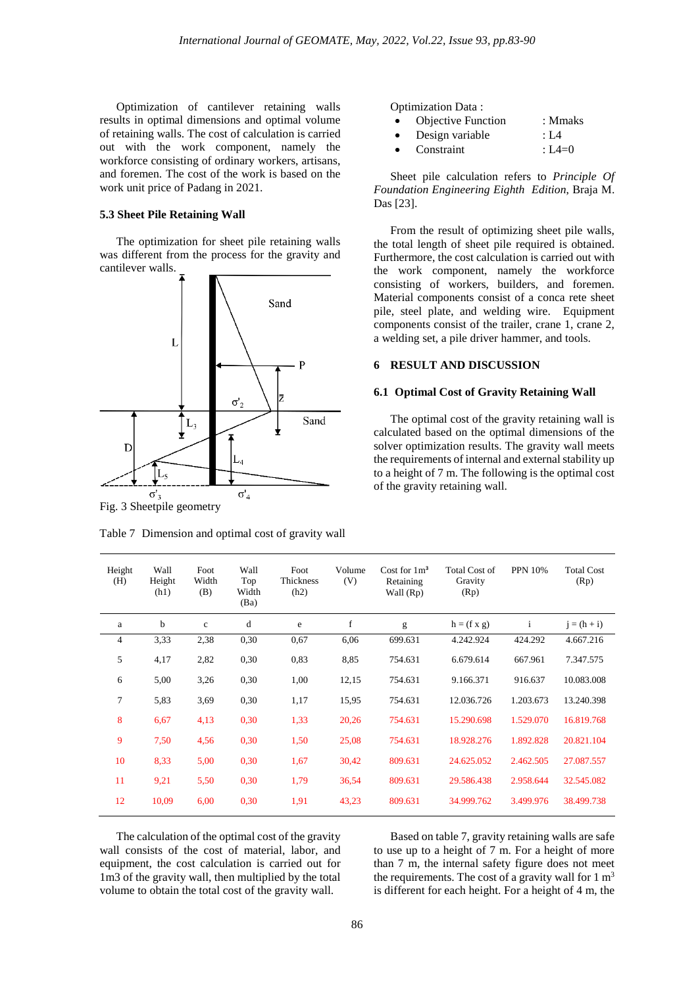Optimization of cantilever retaining walls results in optimal dimensions and optimal volume of retaining walls. The cost of calculation is carried out with the work component, namely the workforce consisting of ordinary workers, artisans, and foremen. The cost of the work is based on the work unit price of Padang in 2021.

#### **5.3 Sheet Pile Retaining Wall**

The optimization for sheet pile retaining walls was different from the process for the gravity and cantilever walls.



Table 7 Dimension and optimal cost of gravity wall

Optimization Data :

|  | <b>Objective Function</b> | : Mmaks |
|--|---------------------------|---------|
|--|---------------------------|---------|

| : L4 |  |
|------|--|
|      |  |

Constraint : L4=0

Sheet pile calculation refers to *Principle Of Foundation Engineering Eighth Edition*, Braja M. Das [23].

From the result of optimizing sheet pile walls, the total length of sheet pile required is obtained. Furthermore, the cost calculation is carried out with the work component, namely the workforce consisting of workers, builders, and foremen. Material components consist of a conca rete sheet pile, steel plate, and welding wire. Equipment components consist of the trailer, crane 1, crane 2, a welding set, a pile driver hammer, and tools.

# **6 RESULT AND DISCUSSION**

### **6.1 Optimal Cost of Gravity Retaining Wall**

The optimal cost of the gravity retaining wall is calculated based on the optimal dimensions of the solver optimization results. The gravity wall meets the requirements of internal and external stability up to a height of 7 m. The following is the optimal cost of the gravity retaining wall.

| Height<br>(H) | Wall<br>Height<br>(h1) | Foot<br>Width<br>(B) | Wall<br>Top<br>Width<br>(Ba) | Foot<br>Thickness<br>(h2) | Volume<br>(V) | Cost for $1m^3$<br>Retaining<br>Wall (Rp) | <b>Total Cost of</b><br>Gravity<br>(Rp) | <b>PPN 10%</b> | <b>Total Cost</b><br>(Rp) |
|---------------|------------------------|----------------------|------------------------------|---------------------------|---------------|-------------------------------------------|-----------------------------------------|----------------|---------------------------|
| a             | $\mathbf b$            | $\mathbf{c}$         | d                            | e                         | $\mathbf f$   | g                                         | $h = (f \times g)$                      | $\mathbf{i}$   | $j = (h + i)$             |
| 4             | 3,33                   | 2,38                 | 0,30                         | 0,67                      | 6,06          | 699.631                                   | 4.242.924                               | 424.292        | 4.667.216                 |
| 5             | 4,17                   | 2,82                 | 0,30                         | 0,83                      | 8,85          | 754.631                                   | 6.679.614                               | 667.961        | 7.347.575                 |
| 6             | 5,00                   | 3,26                 | 0,30                         | 1,00                      | 12,15         | 754.631                                   | 9.166.371                               | 916.637        | 10.083.008                |
| 7             | 5,83                   | 3,69                 | 0,30                         | 1,17                      | 15,95         | 754.631                                   | 12.036.726                              | 1.203.673      | 13.240.398                |
| 8             | 6,67                   | 4,13                 | 0,30                         | 1,33                      | 20,26         | 754.631                                   | 15.290.698                              | 1.529.070      | 16.819.768                |
| 9             | 7,50                   | 4,56                 | 0,30                         | 1,50                      | 25,08         | 754.631                                   | 18.928.276                              | 1.892.828      | 20.821.104                |
| 10            | 8,33                   | 5,00                 | 0,30                         | 1,67                      | 30,42         | 809.631                                   | 24.625.052                              | 2.462.505      | 27.087.557                |
| 11            | 9,21                   | 5,50                 | 0,30                         | 1,79                      | 36,54         | 809.631                                   | 29.586.438                              | 2.958.644      | 32.545.082                |
| 12            | 10,09                  | 6,00                 | 0,30                         | 1,91                      | 43,23         | 809.631                                   | 34.999.762                              | 3.499.976      | 38.499.738                |

The calculation of the optimal cost of the gravity wall consists of the cost of material, labor, and equipment, the cost calculation is carried out for 1m3 of the gravity wall, then multiplied by the total volume to obtain the total cost of the gravity wall.

Based on table 7, gravity retaining walls are safe to use up to a height of 7 m. For a height of more than 7 m, the internal safety figure does not meet the requirements. The cost of a gravity wall for  $1 \text{ m}^3$ is different for each height. For a height of 4 m, the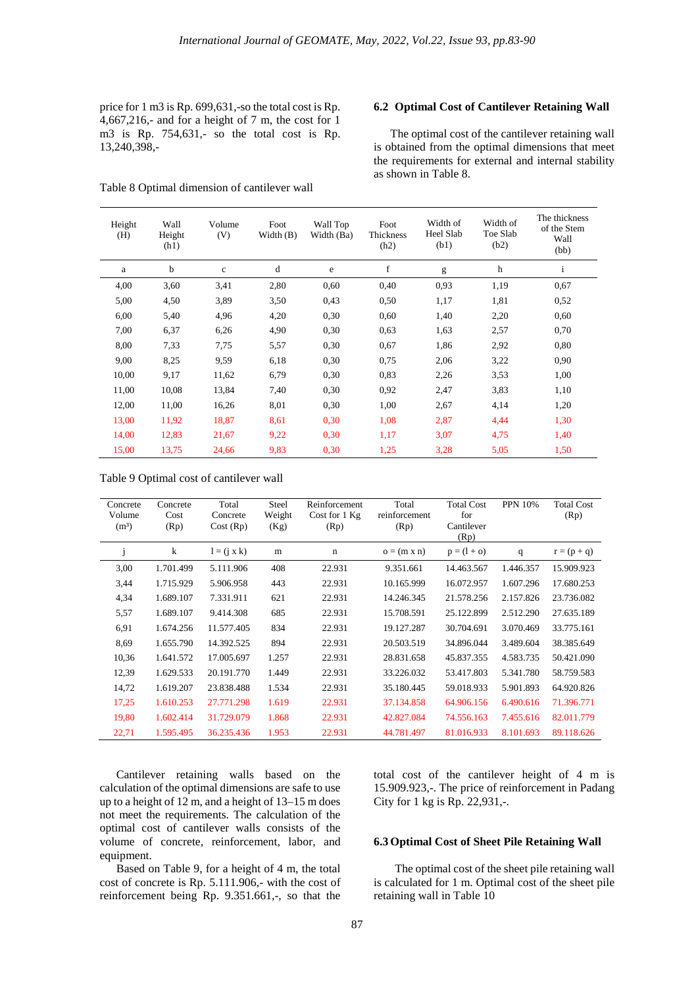price for 1 m3 is Rp. 699,631,-so the total cost is Rp. 4,667,216,- and for a height of 7 m, the cost for 1 m3 is Rp. 754,631,- so the total cost is Rp. 13,240,398,-

# **6.2 Optimal Cost of Cantilever Retaining Wall**

The optimal cost of the cantilever retaining wall is obtained from the optimal dimensions that meet the requirements for external and internal stability as shown in Table 8.

| Height<br>(H) | Wall<br>Height<br>(h1) | Volume<br>(V) | Foot<br>Width $(B)$ | Wall Top<br>Width (Ba) | Foot<br>Thickness<br>(h2) | Width of<br>Heel Slab<br>(b1) | Width of<br>Toe Slab<br>(b2) | The thickness<br>of the Stem<br>Wall<br>(bb) |
|---------------|------------------------|---------------|---------------------|------------------------|---------------------------|-------------------------------|------------------------------|----------------------------------------------|
| a             | b                      | c             | d                   | e                      | f                         | g                             | h                            | $\mathbf{i}$                                 |
| 4,00          | 3,60                   | 3,41          | 2,80                | 0.60                   | 0,40                      | 0.93                          | 1,19                         | 0,67                                         |
| 5,00          | 4,50                   | 3,89          | 3,50                | 0.43                   | 0.50                      | 1,17                          | 1,81                         | 0,52                                         |
| 6,00          | 5,40                   | 4,96          | 4,20                | 0.30                   | 0,60                      | 1,40                          | 2,20                         | 0.60                                         |
| 7,00          | 6,37                   | 6,26          | 4,90                | 0.30                   | 0.63                      | 1,63                          | 2,57                         | 0,70                                         |
| 8,00          | 7,33                   | 7,75          | 5,57                | 0,30                   | 0,67                      | 1,86                          | 2,92                         | 0,80                                         |
| 9,00          | 8,25                   | 9,59          | 6,18                | 0,30                   | 0,75                      | 2,06                          | 3,22                         | 0,90                                         |
| 10,00         | 9,17                   | 11,62         | 6,79                | 0,30                   | 0,83                      | 2,26                          | 3,53                         | 1,00                                         |
| 11,00         | 10,08                  | 13,84         | 7,40                | 0.30                   | 0,92                      | 2,47                          | 3,83                         | 1,10                                         |
| 12,00         | 11,00                  | 16,26         | 8,01                | 0.30                   | 1,00                      | 2,67                          | 4,14                         | 1,20                                         |
| 13,00         | 11,92                  | 18,87         | 8,61                | 0,30                   | 1,08                      | 2,87                          | 4,44                         | 1,30                                         |
| 14,00         | 12,83                  | 21,67         | 9,22                | 0,30                   | 1,17                      | 3,07                          | 4,75                         | 1,40                                         |
| 15,00         | 13,75                  | 24,66         | 9,83                | 0,30                   | 1,25                      | 3,28                          | 5,05                         | 1,50                                         |

Table 8 Optimal dimension of cantilever wall

Table 9 Optimal cost of cantilever wall

| Concrete<br>Volume<br>(m <sup>3</sup> ) | Concrete<br>Cost<br>(Rp) | Total<br>Concrete<br>Cost (Rp) | Steel<br>Weight<br>(Kg) | Reinforcement<br>Cost for 1 Kg<br>(Rp) | Total<br>reinforcement<br>(Rp) | <b>Total Cost</b><br>for<br>Cantilever<br>(Rp) | <b>PPN 10%</b> | <b>Total Cost</b><br>(Rp) |
|-----------------------------------------|--------------------------|--------------------------------|-------------------------|----------------------------------------|--------------------------------|------------------------------------------------|----------------|---------------------------|
|                                         | k                        | $l = (i \times k)$             | m                       | n                                      | $o = (m \times n)$             | $p = (1 + o)$                                  | q              | $r = (p + q)$             |
| 3,00                                    | 1.701.499                | 5.111.906                      | 408                     | 22.931                                 | 9.351.661                      | 14.463.567                                     | 1.446.357      | 15.909.923                |
| 3.44                                    | 1.715.929                | 5.906.958                      | 443                     | 22.931                                 | 10.165.999                     | 16.072.957                                     | 1.607.296      | 17.680.253                |
| 4,34                                    | 1.689.107                | 7.331.911                      | 621                     | 22.931                                 | 14.246.345                     | 21.578.256                                     | 2.157.826      | 23.736.082                |
| 5.57                                    | 1.689.107                | 9.414.308                      | 685                     | 22.931                                 | 15.708.591                     | 25.122.899                                     | 2.512.290      | 27.635.189                |
| 6.91                                    | 1.674.256                | 11.577.405                     | 834                     | 22.931                                 | 19.127.287                     | 30.704.691                                     | 3.070.469      | 33.775.161                |
| 8.69                                    | 1.655.790                | 14.392.525                     | 894                     | 22.931                                 | 20.503.519                     | 34.896.044                                     | 3.489.604      | 38.385.649                |
| 10,36                                   | 1.641.572                | 17.005.697                     | 1.257                   | 22.931                                 | 28.831.658                     | 45.837.355                                     | 4.583.735      | 50.421.090                |
| 12,39                                   | 1.629.533                | 20.191.770                     | 1.449                   | 22.931                                 | 33.226.032                     | 53.417.803                                     | 5.341.780      | 58.759.583                |
| 14,72                                   | 1.619.207                | 23.838.488                     | 1.534                   | 22.931                                 | 35.180.445                     | 59.018.933                                     | 5.901.893      | 64.920.826                |
| 17,25                                   | 1.610.253                | 27.771.298                     | 1.619                   | 22.931                                 | 37.134.858                     | 64.906.156                                     | 6.490.616      | 71.396.771                |
| 19,80                                   | 1.602.414                | 31.729.079                     | 1.868                   | 22.931                                 | 42.827.084                     | 74.556.163                                     | 7.455.616      | 82.011.779                |
| 22,71                                   | 1.595.495                | 36.235.436                     | 1.953                   | 22.931                                 | 44.781.497                     | 81.016.933                                     | 8.101.693      | 89.118.626                |

Cantilever retaining walls based on the calculation of the optimal dimensions are safe to use up to a height of 12 m, and a height of 13–15 m does not meet the requirements. The calculation of the optimal cost of cantilever walls consists of the volume of concrete, reinforcement, labor, and equipment.

Based on Table 9, for a height of 4 m, the total cost of concrete is Rp. 5.111.906,- with the cost of reinforcement being Rp. 9.351.661,-, so that the

total cost of the cantilever height of 4 m is 15.909.923,-. The price of reinforcement in Padang City for 1 kg is Rp. 22,931,-.

# **6.3 Optimal Cost of Sheet Pile Retaining Wall**

The optimal cost of the sheet pile retaining wall is calculated for 1 m. Optimal cost of the sheet pile retaining wall in Table 10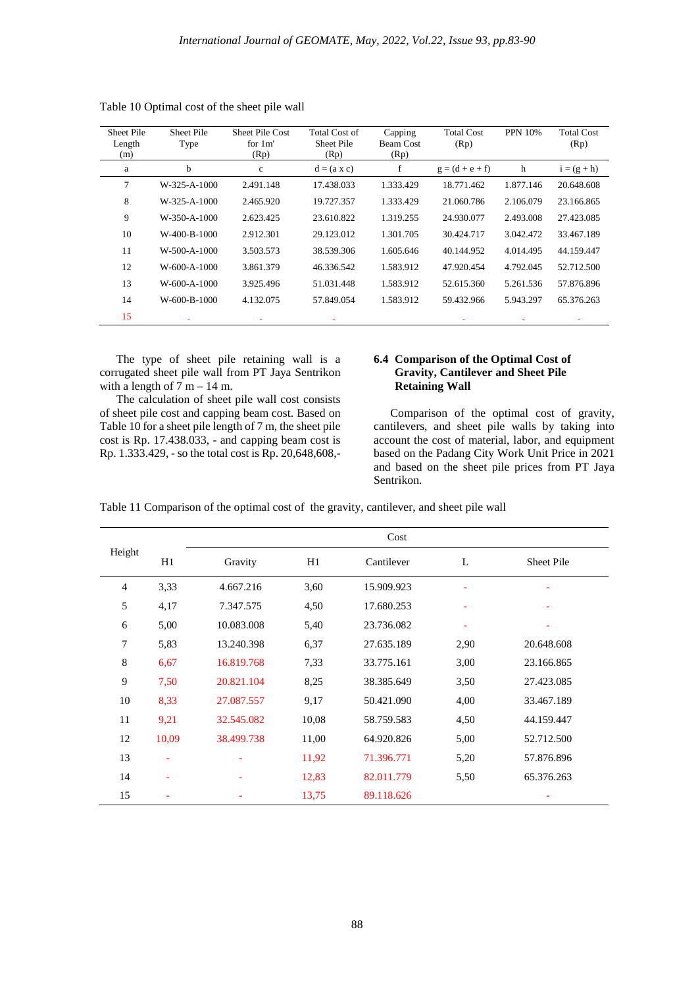| <b>Sheet Pile</b><br>Length<br>(m) | Sheet Pile<br>Type | <b>Sheet Pile Cost</b><br>for $1m$<br>(Rp) | <b>Total Cost of</b><br><b>Sheet Pile</b><br>(Rp) | Capping<br><b>Beam Cost</b><br>(Rp) | <b>Total Cost</b><br>(Rp) | <b>PPN 10%</b> | <b>Total Cost</b><br>(Rp) |
|------------------------------------|--------------------|--------------------------------------------|---------------------------------------------------|-------------------------------------|---------------------------|----------------|---------------------------|
| a                                  | b                  | $\mathbf c$                                | $d = (a \times c)$                                | f                                   | $g = (d + e + f)$         | h              | $i = (g + h)$             |
| 7                                  | W-325-A-1000       | 2.491.148                                  | 17.438.033                                        | 1.333.429                           | 18.771.462                | 1.877.146      | 20.648.608                |
| 8                                  | W-325-A-1000       | 2.465.920                                  | 19.727.357                                        | 1.333.429                           | 21.060.786                | 2.106.079      | 23.166.865                |
| 9                                  | W-350-A-1000       | 2.623.425                                  | 23.610.822                                        | 1.319.255                           | 24.930.077                | 2.493.008      | 27.423.085                |
| 10                                 | W-400-B-1000       | 2.912.301                                  | 29.123.012                                        | 1.301.705                           | 30.424.717                | 3.042.472      | 33.467.189                |
| 11                                 | $W-500-A-1000$     | 3.503.573                                  | 38.539.306                                        | 1.605.646                           | 40.144.952                | 4.014.495      | 44.159.447                |
| 12                                 | W-600-A-1000       | 3.861.379                                  | 46.336.542                                        | 1.583.912                           | 47.920.454                | 4.792.045      | 52.712.500                |
| 13                                 | W-600-A-1000       | 3.925.496                                  | 51.031.448                                        | 1.583.912                           | 52.615.360                | 5.261.536      | 57.876.896                |
| 14                                 | W-600-B-1000       | 4.132.075                                  | 57.849.054                                        | 1.583.912                           | 59.432.966                | 5.943.297      | 65.376.263                |
| 15                                 |                    |                                            |                                                   |                                     |                           |                |                           |

Table 10 Optimal cost of the sheet pile wall

The type of sheet pile retaining wall is a corrugated sheet pile wall from PT Jaya Sentrikon with a length of  $7 m - 14 m$ .

The calculation of sheet pile wall cost consists of sheet pile cost and capping beam cost. Based on Table 10 for a sheet pile length of 7 m, the sheet pile cost is Rp. 17.438.033, - and capping beam cost is Rp. 1.333.429, - so the total cost is Rp. 20,648,608,-

# **6.4 Comparison of the Optimal Cost of Gravity, Cantilever and Sheet Pile Retaining Wall**

Comparison of the optimal cost of gravity, cantilevers, and sheet pile walls by taking into account the cost of material, labor, and equipment based on the Padang City Work Unit Price in 2021 and based on the sheet pile prices from PT Jaya Sentrikon.

|                | Cost  |            |       |            |      |            |  |  |  |
|----------------|-------|------------|-------|------------|------|------------|--|--|--|
| Height         | H1    | Gravity    | H1    | Cantilever | L    | Sheet Pile |  |  |  |
| $\overline{4}$ | 3,33  | 4.667.216  | 3,60  | 15.909.923 |      |            |  |  |  |
| 5              | 4,17  | 7.347.575  | 4,50  | 17.680.253 | ٠    |            |  |  |  |
| 6              | 5,00  | 10.083.008 | 5,40  | 23.736.082 | ۰    |            |  |  |  |
| 7              | 5,83  | 13.240.398 | 6,37  | 27.635.189 | 2,90 | 20.648.608 |  |  |  |
| 8              | 6,67  | 16.819.768 | 7,33  | 33.775.161 | 3,00 | 23.166.865 |  |  |  |
| 9              | 7,50  | 20.821.104 | 8,25  | 38.385.649 | 3,50 | 27.423.085 |  |  |  |
| 10             | 8,33  | 27.087.557 | 9,17  | 50.421.090 | 4,00 | 33.467.189 |  |  |  |
| 11             | 9,21  | 32.545.082 | 10,08 | 58.759.583 | 4,50 | 44.159.447 |  |  |  |
| 12             | 10,09 | 38.499.738 | 11,00 | 64.920.826 | 5,00 | 52.712.500 |  |  |  |
| 13             |       |            | 11,92 | 71.396.771 | 5,20 | 57.876.896 |  |  |  |
| 14             |       |            | 12,83 | 82.011.779 | 5,50 | 65.376.263 |  |  |  |
| 15             |       |            | 13,75 | 89.118.626 |      |            |  |  |  |

Table 11 Comparison of the optimal cost of the gravity, cantilever, and sheet pile wall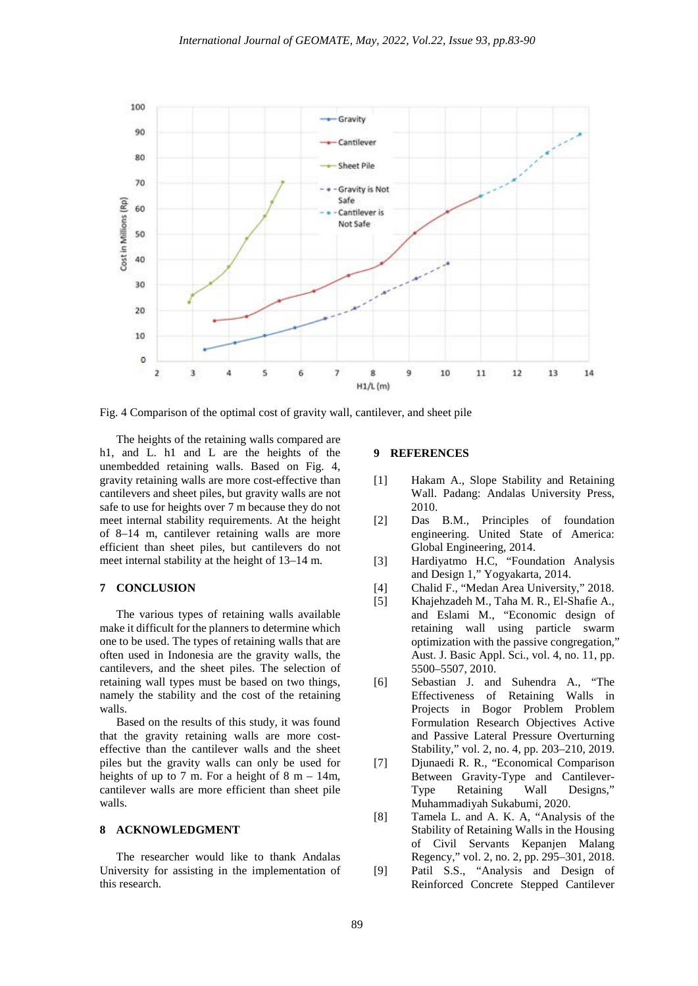

Fig. 4 Comparison of the optimal cost of gravity wall, cantilever, and sheet pile

The heights of the retaining walls compared are h1, and L. h1 and L are the heights of the unembedded retaining walls. Based on Fig. 4, gravity retaining walls are more cost-effective than cantilevers and sheet piles, but gravity walls are not safe to use for heights over 7 m because they do not meet internal stability requirements. At the height of 8–14 m, cantilever retaining walls are more efficient than sheet piles, but cantilevers do not meet internal stability at the height of 13–14 m.

### **7 CONCLUSION**

The various types of retaining walls available make it difficult for the planners to determine which one to be used. The types of retaining walls that are often used in Indonesia are the gravity walls, the cantilevers, and the sheet piles. The selection of retaining wall types must be based on two things, namely the stability and the cost of the retaining walls.

Based on the results of this study, it was found that the gravity retaining walls are more costeffective than the cantilever walls and the sheet piles but the gravity walls can only be used for heights of up to 7 m. For a height of 8 m  $-$  14m, cantilever walls are more efficient than sheet pile walls.

# **8 ACKNOWLEDGMENT**

The researcher would like to thank Andalas University for assisting in the implementation of this research.

# **9 REFERENCES**

- [1] Hakam A., Slope Stability and Retaining Wall. Padang: Andalas University Press, 2010.
- [2] Das B.M., Principles of foundation engineering. United State of America: Global Engineering, 2014.
- [3] Hardiyatmo H.C, "Foundation Analysis and Design 1," Yogyakarta, 2014.
- [4] Chalid F., "Medan Area University," 2018.
- [5] Khajehzadeh M., Taha M. R., El-Shafie A., and Eslami M., "Economic design of retaining wall using particle swarm optimization with the passive congregation," Aust. J. Basic Appl. Sci., vol. 4, no. 11, pp. 5500–5507, 2010.
- [6] Sebastian J. and Suhendra A., "The Effectiveness of Retaining Walls in Projects in Bogor Problem Problem Formulation Research Objectives Active and Passive Lateral Pressure Overturning Stability," vol. 2, no. 4, pp. 203–210, 2019.
- [7] Djunaedi R. R., "Economical Comparison Between Gravity-Type and Cantilever-Type Retaining Wall Designs," Muhammadiyah Sukabumi, 2020.
- [8] Tamela L. and A. K. A, "Analysis of the Stability of Retaining Walls in the Housing of Civil Servants Kepanjen Malang Regency," vol. 2, no. 2, pp. 295–301, 2018.
- [9] Patil S.S., "Analysis and Design of Reinforced Concrete Stepped Cantilever